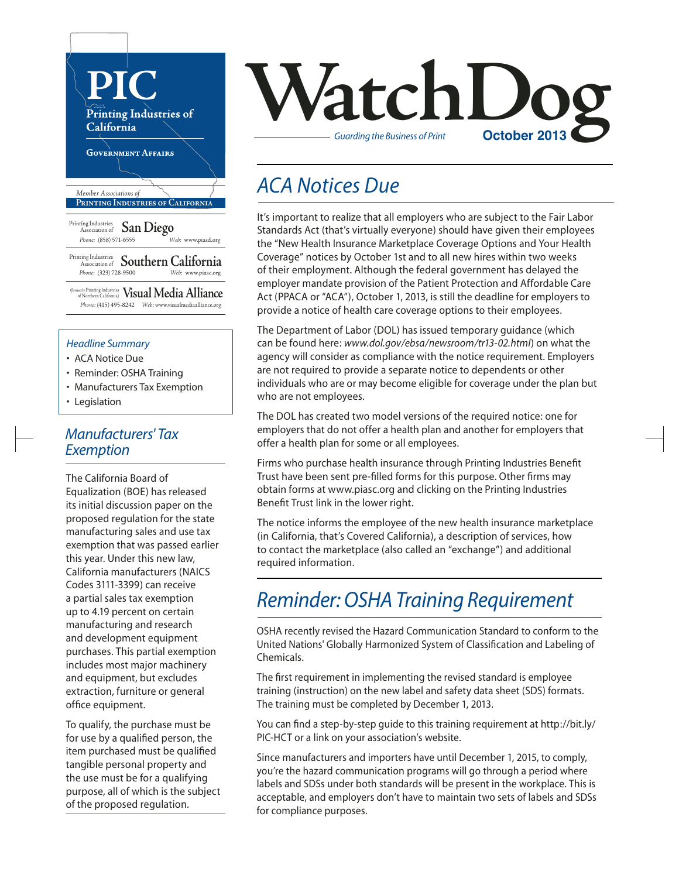

- ACA Notice Due
- Reminder: OSHA Training
- Manufacturers Tax Exemption
- Legislation

## *Manufacturers' Tax Exemption*

The California Board of Equalization (BOE) has released its initial discussion paper on the proposed regulation for the state manufacturing sales and use tax exemption that was passed earlier this year. Under this new law, California manufacturers (NAICS Codes 3111-3399) can receive a partial sales tax exemption up to 4.19 percent on certain manufacturing and research and development equipment purchases. This partial exemption includes most major machinery and equipment, but excludes extraction, furniture or general office equipment.

To qualify, the purchase must be for use by a qualified person, the item purchased must be qualified tangible personal property and the use must be for a qualifying purpose, all of which is the subject of the proposed regulation.



## *ACA Notices Due*

It's important to realize that all employers who are subject to the Fair Labor Standards Act (that's virtually everyone) should have given their employees the "New Health Insurance Marketplace Coverage Options and Your Health Coverage" notices by October 1st and to all new hires within two weeks of their employment. Although the federal government has delayed the employer mandate provision of the Patient Protection and Affordable Care Act (PPACA or "ACA"), October 1, 2013, is still the deadline for employers to provide a notice of health care coverage options to their employees.

The Department of Labor (DOL) has issued temporary guidance (which can be found here: *www.dol.gov/ebsa/newsroom/tr13-02.html*) on what the agency will consider as compliance with the notice requirement. Employers are not required to provide a separate notice to dependents or other individuals who are or may become eligible for coverage under the plan but who are not employees.

The DOL has created two model versions of the required notice: one for employers that do not offer a health plan and another for employers that offer a health plan for some or all employees.

Firms who purchase health insurance through Printing Industries Benefit Trust have been sent pre-filled forms for this purpose. Other firms may obtain forms at www.piasc.org and clicking on the Printing Industries Benefit Trust link in the lower right.

The notice informs the employee of the new health insurance marketplace (in California, that's Covered California), a description of services, how to contact the marketplace (also called an "exchange") and additional required information.

## *Reminder: OSHA Training Requirement*

OSHA recently revised the Hazard Communication Standard to conform to the United Nations' Globally Harmonized System of Classification and Labeling of Chemicals.

The first requirement in implementing the revised standard is employee training (instruction) on the new label and safety data sheet (SDS) formats. The training must be completed by December 1, 2013.

You can find a step-by-step guide to this training requirement at http://bit.ly/ PIC-HCT or a link on your association's website.

Since manufacturers and importers have until December 1, 2015, to comply, you're the hazard communication programs will go through a period where labels and SDSs under both standards will be present in the workplace. This is acceptable, and employers don't have to maintain two sets of labels and SDSs for compliance purposes.